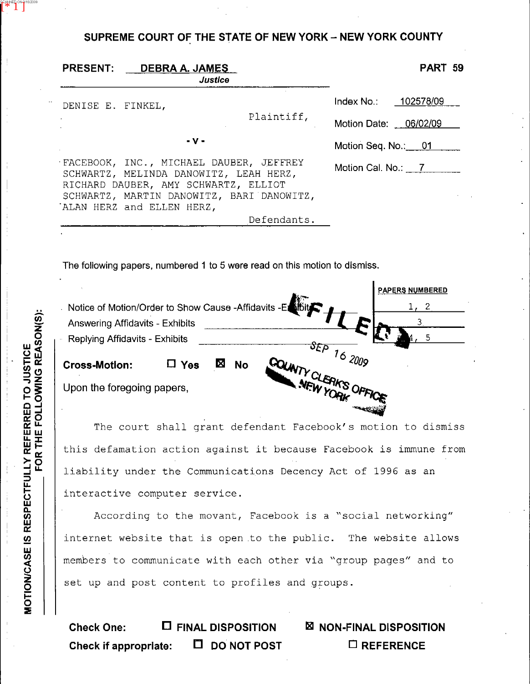## SUPREME COURT OF THE STATE OF NEW YORK - NEW YORK COUNTY

| <b>PRESENT:</b><br>DEB <u>RA A. JAMES</u>                                                                                                                                                           | Justice             | <b>PART 59</b>                                |
|-----------------------------------------------------------------------------------------------------------------------------------------------------------------------------------------------------|---------------------|-----------------------------------------------|
| DENISE E. FINKEL,                                                                                                                                                                                   | Plaintiff,          | Index No.: 102578/09<br>Motion Date: 06/02/09 |
| - v -                                                                                                                                                                                               | Motion Seq. No.: 01 |                                               |
| FACEBOOK, INC., MICHAEL DAUBER, JEFFREY<br>SCHWARTZ, MELINDA DANOWITZ, LEAH HERZ,<br>RICHARD DAUBER, AMY SCHWARTZ, ELLIOT<br>SCHWARTZ, MARTIN DANOWITZ, BARI DANOWITZ,<br>ALAN HERZ and ELLEN HERZ, |                     | Motion Cal. No.: 7                            |
|                                                                                                                                                                                                     | Defendants.         |                                               |

The following papers, numbered 1 to 5 were **read on** thls motion to **dismiss.** 

| Notice of Motion/Order to Show Cause -Affidavits -Et<br><b>Answering Affidavits - Exhibits</b><br>Replying Affidavits - Exhibits |            |                | <b>Children</b>                    | <b>PAPERS NUMBERED</b> |
|----------------------------------------------------------------------------------------------------------------------------------|------------|----------------|------------------------------------|------------------------|
| <b>Cross-Motion:</b>                                                                                                             | $\Box$ Yes | Χ<br><b>No</b> | $\mathfrak{F}\mathsf{E}\mathsf{P}$ | 162009                 |
| Upon the foregoing papers,                                                                                                       |            |                | SOUNTY CLEAKS OFF                  |                        |

The court shall grant defendant Facebook's motion to dismiss this defamation action against it because Facebook is immune from liability under the Communications Decency Act of 1996 as an interactive computer service.

According to the movant, Facebook is a "social networking'' internet website that is open to the public. The website allows members to communicate with each other via "group pages" and to set up and post content to profiles and groups.

Check One:  $\Box$  FINAL DISPOSITION **NON-FINAL DISPOSITION Check if appropriate: □ DO NOT POST □ REFERENCE** 

**ANNED ON 9/16/2009**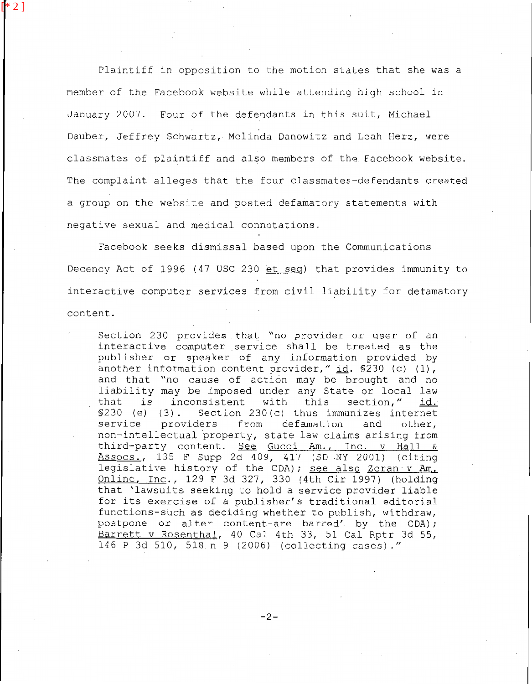Plaintiff in opposition to the motion states that she was a member of the Facebook website while attending high school in January 2007. Four of the defendants in this suit, Michael Dauber, Jeffrey Schwartz, Melinda Danowitz and Leah Herz, were classmates of plaintiff and also members of the Facebook website. The complaint alleges that the four classmates-defendants created a group on the website and posted defamatory statements with negative sexual and medical connotations.

 $[2]$ 

Facebook seeks dismissal based upon the Communications Decency Act of 1996 (47 USC 230 et seq) that provides immunity to interactive computer services from civil liability for defamatory content.

Section 230 provides that "no provider or user of an interactive computer service shall **be** treated as the publisher or speaker of any information provided by another information content provider," **id.** 5230 (c) **(1)** , and that "no cause of action may be brought and no liability may be imposed under any State or local law that is inconsistent with this section, **id.**  §230 (e) (3). Section 230(c) thus immunizes internet service providers from defamation and other, non-intellectual property, state law claims arising from ASSOCS., 135 F Supp 2d 409, 417 (SD .NY 2001) (citing legislative history of the CDA); see also Zeran v Am. Online, Inc., 129 F 36 327, 330 **(4th** Cir 1997) (holding that 'lawsuits seeking to hold a service provider liable for its exercise of a publisher's traditional editorial functions-such as deciding whether to publish, withdraw, postpone of alter content-are barred'. **by** the CDA); Barrett v Rosenthal, 40 Cal 4th 33, 51 Cal Rptr 3d 55, 146 P 3d 510, 518 n 9 (2006) (collecting cases)." third-party content. See Gucci Am., Inc. v Hall &

-2-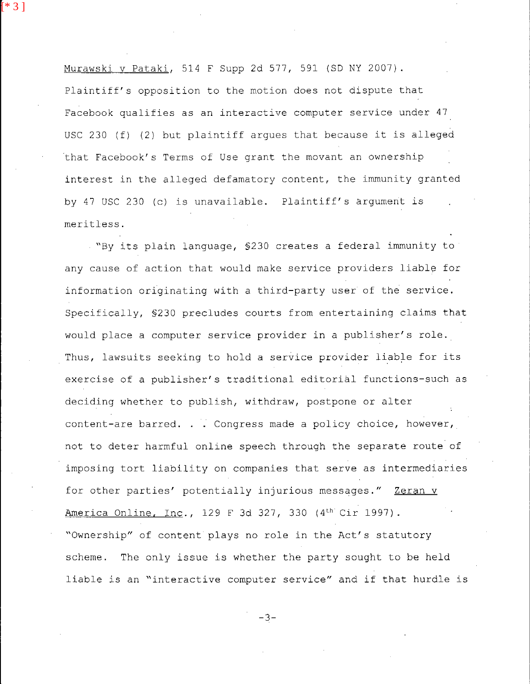Murawski v Pataki, 514 F Supp 2d 577, 591 (SD NY 2007). Plaintiff's opposition to the motion does not dispute that Facebook qualifies as an interactive computer service under 47 USC 230 (f) (2) but plaintiff argues that because it is alleged 'that Facebook's Terms of Use grant the movant an ownership interest in the alleged defamatory content, the immunity granted by 47 USC 230 (c) is unavailable. Plaintiff's argument is meritless.

[\* 3 ]

"By its plain language, §230 creates a federal immunity to any cause of action that would make service providers liable for information originating with a third-party user of the service. Specifically, §230 precludes courts from entertaining claims that would place a computer service provider in a publisher's role. Thus, lawsuits seeking to hold a service provider liable for its exercise of a publisher's traditional editorial functions-such as deciding whether to publish, withdraw, postpone or alter content-are barred, . . Congress made a policy choice, however, not to deter harmful online speech through the separate route of imposing tort liability on companies that serve as intermediaries for other parties' potentially injurious messages." Zeran v America Online, Inc., 129 F 3d 327, 330 (4<sup>th</sup> Cir 1997). "Ownership" of content plays no role in the Act's statutory scheme. The only issue is whether the party sought to **be** held liable is an "interactive computer service" and if that hurdle is

*-3-*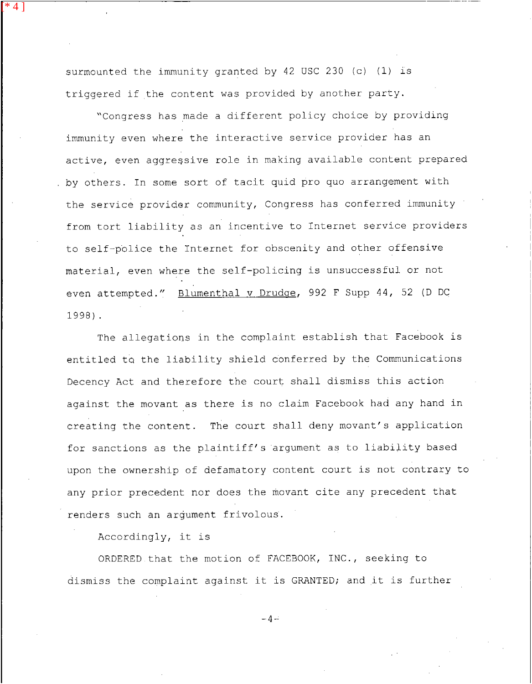surmounted the immunity granted by 42 USC 230 (c) (1) is triggered if the content was provided by another party.

[\* 4 ]

"Congress has made a different policy choice by providing immunity even where the interactive service provider has an active, even aggressive role in making available content prepared by others. In some sort of tacit quid pro quo arrangement with the service provider community, Congress has conferred immunity from tort liability as an incentive to Internet service providers to self-police the Internet for obscenity and other offensive material, even where the self-policing is unsuccessful or not even attempted." Blumenthal v Drudqe, 992 F Supp 44, *52* (D DC 1998).

The allegations in the complaint establish that Facebook is entitled ta the liability shield conferred by the Communications Decency Act and therefore the court shall dismiss this action against the movant as there is no claim Facebook had any hand in creating the content. The court shall deny movant's application for sanctions as the plaintiff's argument as to liability based upon the ownership of defamatory content court is not contrary to any prior precedent nor does the movant cite any precedent that renders such an argument frivolous.

Accordingly, it is

ORDERED that the motion of FACEBOOK, INC., seeking to dismiss the complaint against it is GRANTED; and it is further

 $-4-$